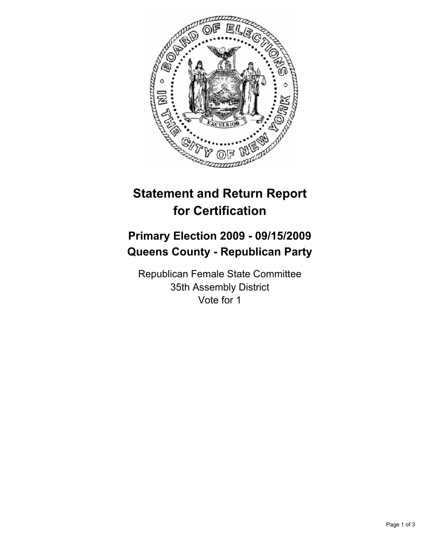

# **Statement and Return Report for Certification**

## **Primary Election 2009 - 09/15/2009 Queens County - Republican Party**

Republican Female State Committee 35th Assembly District Vote for 1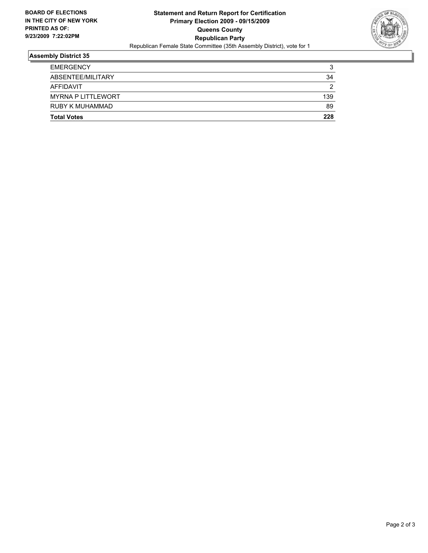

### **Assembly District 35**

| <b>Total Votes</b>        | 228 |
|---------------------------|-----|
| <b>RUBY K MUHAMMAD</b>    | 89  |
| <b>MYRNA P LITTLEWORT</b> | 139 |
| AFFIDAVIT                 | 2   |
| ABSENTEE/MILITARY         | 34  |
| <b>EMERGENCY</b>          | 3   |